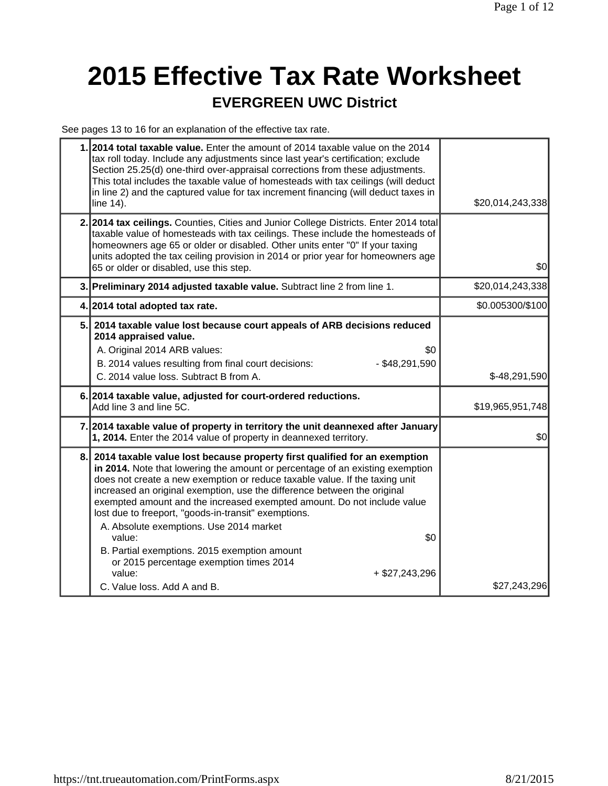# **2015 Effective Tax Rate Worksheet**

#### **EVERGREEN UWC District**

See pages 13 to 16 for an explanation of the effective tax rate.

| 1.2014 total taxable value. Enter the amount of 2014 taxable value on the 2014<br>tax roll today. Include any adjustments since last year's certification; exclude<br>Section 25.25(d) one-third over-appraisal corrections from these adjustments.<br>This total includes the taxable value of homesteads with tax ceilings (will deduct<br>in line 2) and the captured value for tax increment financing (will deduct taxes in<br>line 14).                                                                                                                                                                                                                                   | \$20,014,243,338 |
|---------------------------------------------------------------------------------------------------------------------------------------------------------------------------------------------------------------------------------------------------------------------------------------------------------------------------------------------------------------------------------------------------------------------------------------------------------------------------------------------------------------------------------------------------------------------------------------------------------------------------------------------------------------------------------|------------------|
| 2. 2014 tax ceilings. Counties, Cities and Junior College Districts. Enter 2014 total<br>taxable value of homesteads with tax ceilings. These include the homesteads of<br>homeowners age 65 or older or disabled. Other units enter "0" If your taxing<br>units adopted the tax ceiling provision in 2014 or prior year for homeowners age<br>65 or older or disabled, use this step.                                                                                                                                                                                                                                                                                          | \$0              |
| 3. Preliminary 2014 adjusted taxable value. Subtract line 2 from line 1.                                                                                                                                                                                                                                                                                                                                                                                                                                                                                                                                                                                                        | \$20,014,243,338 |
| 4. 2014 total adopted tax rate.                                                                                                                                                                                                                                                                                                                                                                                                                                                                                                                                                                                                                                                 | \$0.005300/\$100 |
| 5. 2014 taxable value lost because court appeals of ARB decisions reduced<br>2014 appraised value.<br>A. Original 2014 ARB values:<br>\$0<br>B. 2014 values resulting from final court decisions:<br>$-$ \$48,291,590<br>C. 2014 value loss. Subtract B from A.                                                                                                                                                                                                                                                                                                                                                                                                                 | $$-48,291,590$   |
| 6. 2014 taxable value, adjusted for court-ordered reductions.<br>Add line 3 and line 5C.                                                                                                                                                                                                                                                                                                                                                                                                                                                                                                                                                                                        | \$19,965,951,748 |
| 7. 2014 taxable value of property in territory the unit deannexed after January<br>1, 2014. Enter the 2014 value of property in deannexed territory.                                                                                                                                                                                                                                                                                                                                                                                                                                                                                                                            | \$0              |
| 8. 2014 taxable value lost because property first qualified for an exemption<br>in 2014. Note that lowering the amount or percentage of an existing exemption<br>does not create a new exemption or reduce taxable value. If the taxing unit<br>increased an original exemption, use the difference between the original<br>exempted amount and the increased exempted amount. Do not include value<br>lost due to freeport, "goods-in-transit" exemptions.<br>A. Absolute exemptions. Use 2014 market<br>\$0<br>value:<br>B. Partial exemptions. 2015 exemption amount<br>or 2015 percentage exemption times 2014<br>value:<br>$+$ \$27,243,296<br>C. Value loss. Add A and B. | \$27,243,296     |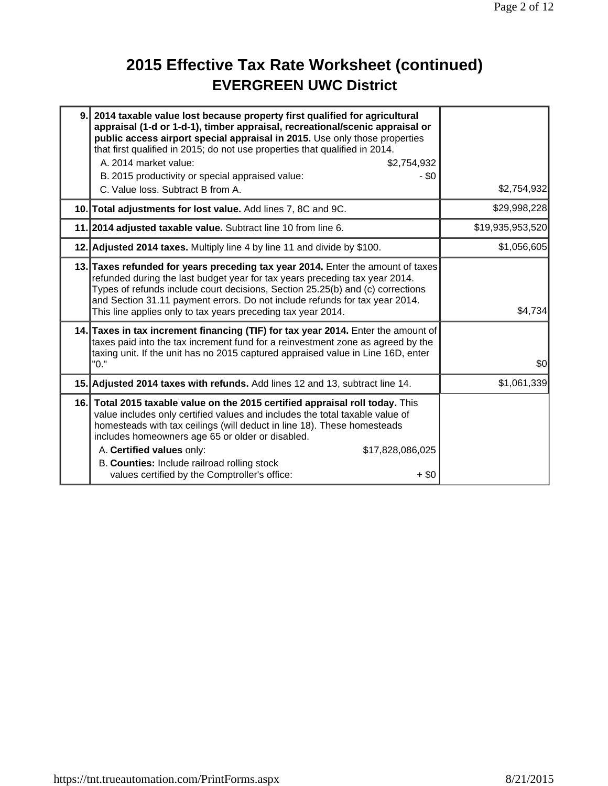## **2015 Effective Tax Rate Worksheet (continued) EVERGREEN UWC District**

| 9.1 | 2014 taxable value lost because property first qualified for agricultural<br>appraisal (1-d or 1-d-1), timber appraisal, recreational/scenic appraisal or<br>public access airport special appraisal in 2015. Use only those properties<br>that first qualified in 2015; do not use properties that qualified in 2014.<br>A. 2014 market value:<br>\$2,754,932                                                                                           |                  |
|-----|----------------------------------------------------------------------------------------------------------------------------------------------------------------------------------------------------------------------------------------------------------------------------------------------------------------------------------------------------------------------------------------------------------------------------------------------------------|------------------|
|     | B. 2015 productivity or special appraised value:<br>- \$0<br>C. Value loss. Subtract B from A.                                                                                                                                                                                                                                                                                                                                                           | \$2,754,932      |
|     | 10. Total adjustments for lost value. Add lines 7, 8C and 9C.                                                                                                                                                                                                                                                                                                                                                                                            | \$29,998,228     |
|     | 11. 2014 adjusted taxable value. Subtract line 10 from line 6.                                                                                                                                                                                                                                                                                                                                                                                           | \$19,935,953,520 |
|     | 12. Adjusted 2014 taxes. Multiply line 4 by line 11 and divide by \$100.                                                                                                                                                                                                                                                                                                                                                                                 | \$1,056,605      |
|     | 13. Taxes refunded for years preceding tax year 2014. Enter the amount of taxes<br>refunded during the last budget year for tax years preceding tax year 2014.<br>Types of refunds include court decisions, Section 25.25(b) and (c) corrections<br>and Section 31.11 payment errors. Do not include refunds for tax year 2014.<br>This line applies only to tax years preceding tax year 2014.                                                          | \$4,734          |
|     | 14. Taxes in tax increment financing (TIF) for tax year 2014. Enter the amount of<br>taxes paid into the tax increment fund for a reinvestment zone as agreed by the<br>taxing unit. If the unit has no 2015 captured appraised value in Line 16D, enter<br>"0."                                                                                                                                                                                         | \$0              |
|     | 15. Adjusted 2014 taxes with refunds. Add lines 12 and 13, subtract line 14.                                                                                                                                                                                                                                                                                                                                                                             | \$1,061,339      |
|     | 16. Total 2015 taxable value on the 2015 certified appraisal roll today. This<br>value includes only certified values and includes the total taxable value of<br>homesteads with tax ceilings (will deduct in line 18). These homesteads<br>includes homeowners age 65 or older or disabled.<br>A. Certified values only:<br>\$17,828,086,025<br>B. Counties: Include railroad rolling stock<br>values certified by the Comptroller's office:<br>$+$ \$0 |                  |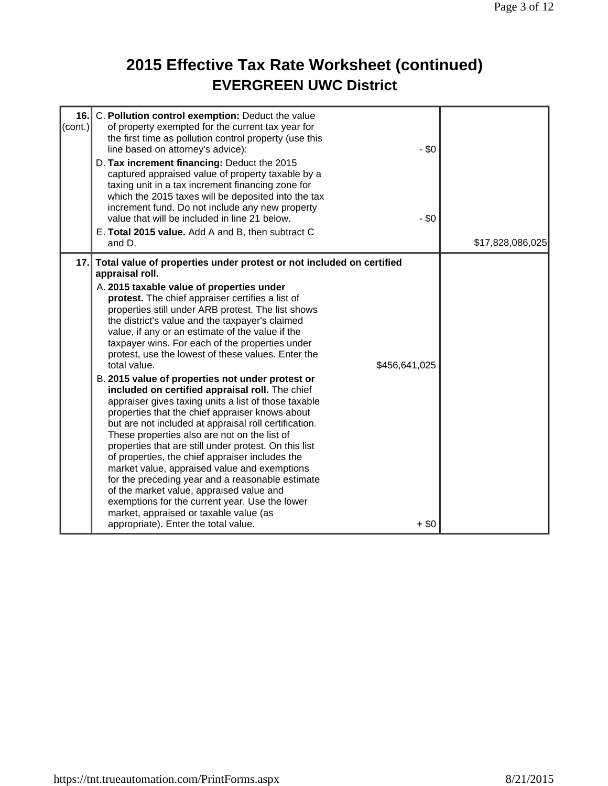## **2015 Effective Tax Rate Worksheet (continued) EVERGREEN UWC District**

| 16.<br>(cont.) | C. Pollution control exemption: Deduct the value<br>of property exempted for the current tax year for<br>the first time as pollution control property (use this<br>line based on attorney's advice):<br>D. Tax increment financing: Deduct the 2015<br>captured appraised value of property taxable by a<br>taxing unit in a tax increment financing zone for<br>which the 2015 taxes will be deposited into the tax<br>increment fund. Do not include any new property<br>value that will be included in line 21 below.<br>E. Total 2015 value. Add A and B, then subtract C<br>and D.                                                                                                                                                                                                                                                                                                                                                                                                                                                                                                                                                                                                                   | $-$ \$0<br>$-$ \$0       | \$17,828,086,025 |
|----------------|-----------------------------------------------------------------------------------------------------------------------------------------------------------------------------------------------------------------------------------------------------------------------------------------------------------------------------------------------------------------------------------------------------------------------------------------------------------------------------------------------------------------------------------------------------------------------------------------------------------------------------------------------------------------------------------------------------------------------------------------------------------------------------------------------------------------------------------------------------------------------------------------------------------------------------------------------------------------------------------------------------------------------------------------------------------------------------------------------------------------------------------------------------------------------------------------------------------|--------------------------|------------------|
| 17.            | Total value of properties under protest or not included on certified<br>appraisal roll.<br>A. 2015 taxable value of properties under<br>protest. The chief appraiser certifies a list of<br>properties still under ARB protest. The list shows<br>the district's value and the taxpayer's claimed<br>value, if any or an estimate of the value if the<br>taxpayer wins. For each of the properties under<br>protest, use the lowest of these values. Enter the<br>total value.<br>B. 2015 value of properties not under protest or<br>included on certified appraisal roll. The chief<br>appraiser gives taxing units a list of those taxable<br>properties that the chief appraiser knows about<br>but are not included at appraisal roll certification.<br>These properties also are not on the list of<br>properties that are still under protest. On this list<br>of properties, the chief appraiser includes the<br>market value, appraised value and exemptions<br>for the preceding year and a reasonable estimate<br>of the market value, appraised value and<br>exemptions for the current year. Use the lower<br>market, appraised or taxable value (as<br>appropriate). Enter the total value. | \$456,641,025<br>$+$ \$0 |                  |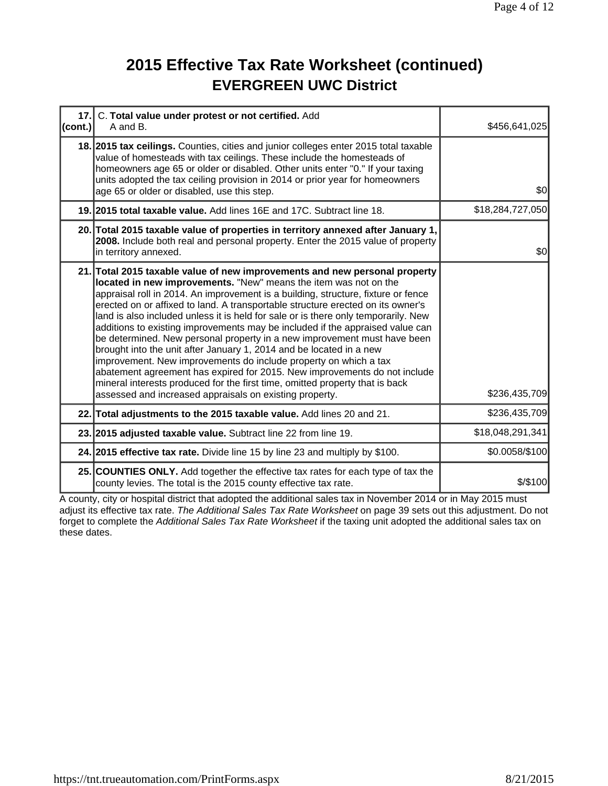#### **2015 Effective Tax Rate Worksheet (continued) EVERGREEN UWC District**

| (cont.) | 17. C. Total value under protest or not certified. Add<br>A and B.                                                                                                                                                                                                                                                                                                                                                                                                                                                                                                                                                                                                                                                                                                                                                                                                                                                                           | \$456,641,025    |
|---------|----------------------------------------------------------------------------------------------------------------------------------------------------------------------------------------------------------------------------------------------------------------------------------------------------------------------------------------------------------------------------------------------------------------------------------------------------------------------------------------------------------------------------------------------------------------------------------------------------------------------------------------------------------------------------------------------------------------------------------------------------------------------------------------------------------------------------------------------------------------------------------------------------------------------------------------------|------------------|
|         | 18. 2015 tax ceilings. Counties, cities and junior colleges enter 2015 total taxable<br>value of homesteads with tax ceilings. These include the homesteads of<br>homeowners age 65 or older or disabled. Other units enter "0." If your taxing<br>units adopted the tax ceiling provision in 2014 or prior year for homeowners<br>age 65 or older or disabled, use this step.                                                                                                                                                                                                                                                                                                                                                                                                                                                                                                                                                               | \$0              |
|         | 19. 2015 total taxable value. Add lines 16E and 17C. Subtract line 18.                                                                                                                                                                                                                                                                                                                                                                                                                                                                                                                                                                                                                                                                                                                                                                                                                                                                       | \$18,284,727,050 |
|         | 20. Total 2015 taxable value of properties in territory annexed after January 1,<br>2008. Include both real and personal property. Enter the 2015 value of property<br>in territory annexed.                                                                                                                                                                                                                                                                                                                                                                                                                                                                                                                                                                                                                                                                                                                                                 | \$0              |
|         | 21. Total 2015 taxable value of new improvements and new personal property<br>located in new improvements. "New" means the item was not on the<br>appraisal roll in 2014. An improvement is a building, structure, fixture or fence<br>erected on or affixed to land. A transportable structure erected on its owner's<br>land is also included unless it is held for sale or is there only temporarily. New<br>additions to existing improvements may be included if the appraised value can<br>be determined. New personal property in a new improvement must have been<br>brought into the unit after January 1, 2014 and be located in a new<br>improvement. New improvements do include property on which a tax<br>abatement agreement has expired for 2015. New improvements do not include<br>mineral interests produced for the first time, omitted property that is back<br>assessed and increased appraisals on existing property. | \$236,435,709    |
|         | 22. Total adjustments to the 2015 taxable value. Add lines 20 and 21.                                                                                                                                                                                                                                                                                                                                                                                                                                                                                                                                                                                                                                                                                                                                                                                                                                                                        | \$236,435,709    |
|         | 23. 2015 adjusted taxable value. Subtract line 22 from line 19.                                                                                                                                                                                                                                                                                                                                                                                                                                                                                                                                                                                                                                                                                                                                                                                                                                                                              | \$18,048,291,341 |
|         | 24. 2015 effective tax rate. Divide line 15 by line 23 and multiply by \$100.                                                                                                                                                                                                                                                                                                                                                                                                                                                                                                                                                                                                                                                                                                                                                                                                                                                                | \$0.0058/\$100   |
|         | 25. COUNTIES ONLY. Add together the effective tax rates for each type of tax the<br>county levies. The total is the 2015 county effective tax rate.                                                                                                                                                                                                                                                                                                                                                                                                                                                                                                                                                                                                                                                                                                                                                                                          | \$/\$100         |

A county, city or hospital district that adopted the additional sales tax in November 2014 or in May 2015 must adjust its effective tax rate. *The Additional Sales Tax Rate Worksheet* on page 39 sets out this adjustment. Do not forget to complete the *Additional Sales Tax Rate Worksheet* if the taxing unit adopted the additional sales tax on these dates.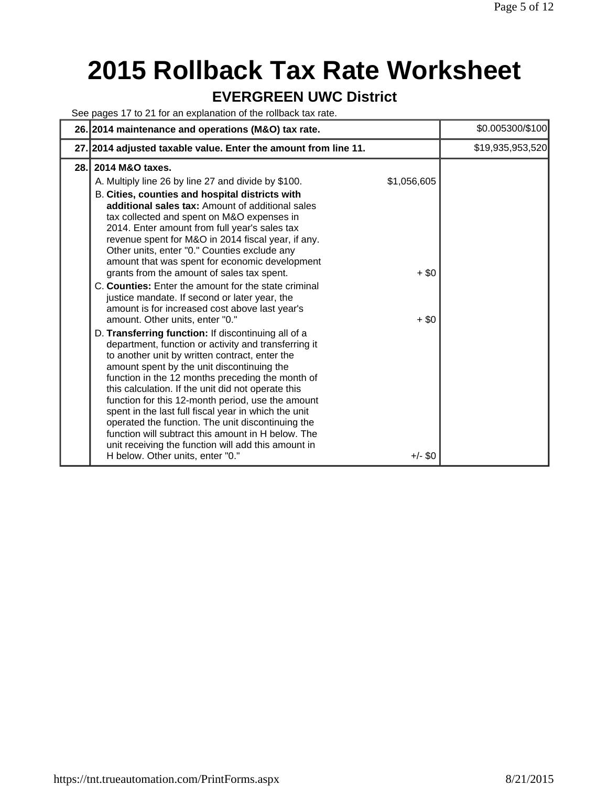## **2015 Rollback Tax Rate Worksheet**

#### **EVERGREEN UWC District**

See pages 17 to 21 for an explanation of the rollback tax rate.

|      | 26. 2014 maintenance and operations (M&O) tax rate.                                                                                                                                                                                                                                                                                                                                                                                                                                                                                                                                                                                                                         |                        | \$0.005300/\$100 |
|------|-----------------------------------------------------------------------------------------------------------------------------------------------------------------------------------------------------------------------------------------------------------------------------------------------------------------------------------------------------------------------------------------------------------------------------------------------------------------------------------------------------------------------------------------------------------------------------------------------------------------------------------------------------------------------------|------------------------|------------------|
|      | 27. 2014 adjusted taxable value. Enter the amount from line 11.                                                                                                                                                                                                                                                                                                                                                                                                                                                                                                                                                                                                             |                        | \$19,935,953,520 |
| 28.1 | 2014 M&O taxes.<br>A. Multiply line 26 by line 27 and divide by \$100.<br>B. Cities, counties and hospital districts with<br>additional sales tax: Amount of additional sales<br>tax collected and spent on M&O expenses in<br>2014. Enter amount from full year's sales tax<br>revenue spent for M&O in 2014 fiscal year, if any.<br>Other units, enter "0." Counties exclude any<br>amount that was spent for economic development<br>grants from the amount of sales tax spent.<br>C. Counties: Enter the amount for the state criminal<br>justice mandate. If second or later year, the<br>amount is for increased cost above last year's                               | \$1,056,605<br>$+$ \$0 |                  |
|      | amount. Other units, enter "0."<br>D. Transferring function: If discontinuing all of a<br>department, function or activity and transferring it<br>to another unit by written contract, enter the<br>amount spent by the unit discontinuing the<br>function in the 12 months preceding the month of<br>this calculation. If the unit did not operate this<br>function for this 12-month period, use the amount<br>spent in the last full fiscal year in which the unit<br>operated the function. The unit discontinuing the<br>function will subtract this amount in H below. The<br>unit receiving the function will add this amount in<br>H below. Other units, enter "0." | $+$ \$0<br>$+/-$ \$0   |                  |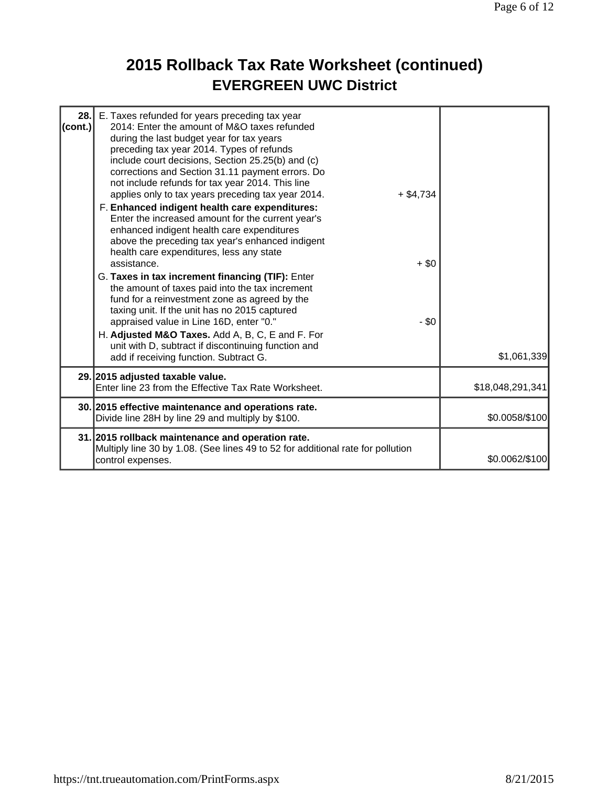## **2015 Rollback Tax Rate Worksheet (continued) EVERGREEN UWC District**

| 28.<br>(cont.) | E. Taxes refunded for years preceding tax year<br>2014: Enter the amount of M&O taxes refunded<br>during the last budget year for tax years<br>preceding tax year 2014. Types of refunds<br>include court decisions, Section 25.25(b) and (c)<br>corrections and Section 31.11 payment errors. Do<br>not include refunds for tax year 2014. This line<br>applies only to tax years preceding tax year 2014.<br>F. Enhanced indigent health care expenditures:<br>Enter the increased amount for the current year's<br>enhanced indigent health care expenditures<br>above the preceding tax year's enhanced indigent<br>health care expenditures, less any state<br>assistance.<br>G. Taxes in tax increment financing (TIF): Enter<br>the amount of taxes paid into the tax increment<br>fund for a reinvestment zone as agreed by the<br>taxing unit. If the unit has no 2015 captured<br>appraised value in Line 16D, enter "0."<br>H. Adjusted M&O Taxes. Add A, B, C, E and F. For<br>unit with D, subtract if discontinuing function and | $+$ \$4,734<br>$+$ \$0<br>$-$ \$0 |                  |
|----------------|------------------------------------------------------------------------------------------------------------------------------------------------------------------------------------------------------------------------------------------------------------------------------------------------------------------------------------------------------------------------------------------------------------------------------------------------------------------------------------------------------------------------------------------------------------------------------------------------------------------------------------------------------------------------------------------------------------------------------------------------------------------------------------------------------------------------------------------------------------------------------------------------------------------------------------------------------------------------------------------------------------------------------------------------|-----------------------------------|------------------|
|                | add if receiving function. Subtract G.                                                                                                                                                                                                                                                                                                                                                                                                                                                                                                                                                                                                                                                                                                                                                                                                                                                                                                                                                                                                         |                                   | \$1,061,339      |
|                | 29. 2015 adjusted taxable value.<br>Enter line 23 from the Effective Tax Rate Worksheet.                                                                                                                                                                                                                                                                                                                                                                                                                                                                                                                                                                                                                                                                                                                                                                                                                                                                                                                                                       |                                   | \$18,048,291,341 |
|                | 30. 2015 effective maintenance and operations rate.<br>Divide line 28H by line 29 and multiply by \$100.                                                                                                                                                                                                                                                                                                                                                                                                                                                                                                                                                                                                                                                                                                                                                                                                                                                                                                                                       |                                   | \$0.0058/\$100   |
|                | 31. 2015 rollback maintenance and operation rate.<br>Multiply line 30 by 1.08. (See lines 49 to 52 for additional rate for pollution<br>control expenses.                                                                                                                                                                                                                                                                                                                                                                                                                                                                                                                                                                                                                                                                                                                                                                                                                                                                                      |                                   | \$0.0062/\$100   |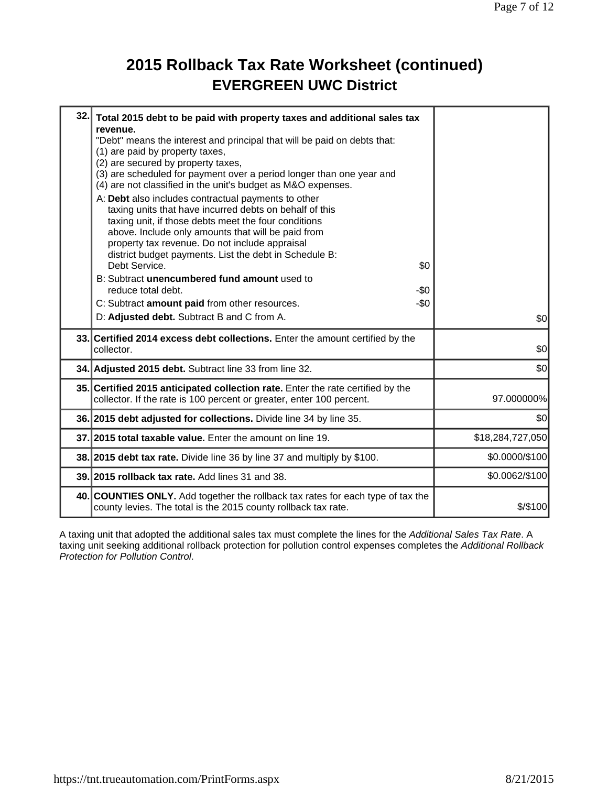#### **2015 Rollback Tax Rate Worksheet (continued) EVERGREEN UWC District**

| 32. | Total 2015 debt to be paid with property taxes and additional sales tax<br>revenue.<br>"Debt" means the interest and principal that will be paid on debts that:<br>(1) are paid by property taxes,<br>(2) are secured by property taxes,<br>(3) are scheduled for payment over a period longer than one year and<br>(4) are not classified in the unit's budget as M&O expenses.<br>A: Debt also includes contractual payments to other<br>taxing units that have incurred debts on behalf of this<br>taxing unit, if those debts meet the four conditions<br>above. Include only amounts that will be paid from<br>property tax revenue. Do not include appraisal<br>district budget payments. List the debt in Schedule B:<br>Debt Service.<br>\$0<br>B: Subtract unencumbered fund amount used to<br>reduce total debt.<br>-\$0<br>$-50$<br>C: Subtract amount paid from other resources.<br>D: Adjusted debt. Subtract B and C from A. | \$0              |
|-----|--------------------------------------------------------------------------------------------------------------------------------------------------------------------------------------------------------------------------------------------------------------------------------------------------------------------------------------------------------------------------------------------------------------------------------------------------------------------------------------------------------------------------------------------------------------------------------------------------------------------------------------------------------------------------------------------------------------------------------------------------------------------------------------------------------------------------------------------------------------------------------------------------------------------------------------------|------------------|
|     | 33. Certified 2014 excess debt collections. Enter the amount certified by the<br>collector.                                                                                                                                                                                                                                                                                                                                                                                                                                                                                                                                                                                                                                                                                                                                                                                                                                                | \$0              |
|     | 34. Adjusted 2015 debt. Subtract line 33 from line 32.                                                                                                                                                                                                                                                                                                                                                                                                                                                                                                                                                                                                                                                                                                                                                                                                                                                                                     | \$0              |
|     | 35. Certified 2015 anticipated collection rate. Enter the rate certified by the<br>collector. If the rate is 100 percent or greater, enter 100 percent.                                                                                                                                                                                                                                                                                                                                                                                                                                                                                                                                                                                                                                                                                                                                                                                    | 97.000000%       |
|     | 36. 2015 debt adjusted for collections. Divide line 34 by line 35.                                                                                                                                                                                                                                                                                                                                                                                                                                                                                                                                                                                                                                                                                                                                                                                                                                                                         | \$0              |
|     | 37. 2015 total taxable value. Enter the amount on line 19.                                                                                                                                                                                                                                                                                                                                                                                                                                                                                                                                                                                                                                                                                                                                                                                                                                                                                 | \$18,284,727,050 |
|     | 38. 2015 debt tax rate. Divide line 36 by line 37 and multiply by \$100.                                                                                                                                                                                                                                                                                                                                                                                                                                                                                                                                                                                                                                                                                                                                                                                                                                                                   | \$0.0000/\$100   |
|     | 39. 2015 rollback tax rate. Add lines 31 and 38.                                                                                                                                                                                                                                                                                                                                                                                                                                                                                                                                                                                                                                                                                                                                                                                                                                                                                           | \$0.0062/\$100   |
|     | 40. COUNTIES ONLY. Add together the rollback tax rates for each type of tax the<br>county levies. The total is the 2015 county rollback tax rate.                                                                                                                                                                                                                                                                                                                                                                                                                                                                                                                                                                                                                                                                                                                                                                                          | $$$ /\$100       |

A taxing unit that adopted the additional sales tax must complete the lines for the *Additional Sales Tax Rate*. A taxing unit seeking additional rollback protection for pollution control expenses completes the *Additional Rollback Protection for Pollution Control*.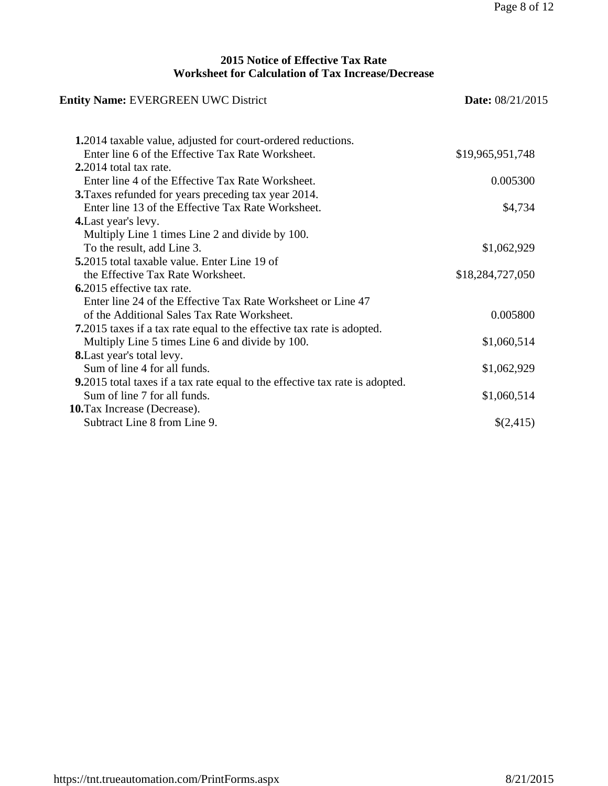#### **2015 Notice of Effective Tax Rate Worksheet for Calculation of Tax Increase/Decrease**

| <b>Entity Name: EVERGREEN UWC District</b>                                   | <b>Date:</b> 08/21/2015 |  |
|------------------------------------------------------------------------------|-------------------------|--|
| <b>1.2014</b> taxable value, adjusted for court-ordered reductions.          |                         |  |
| Enter line 6 of the Effective Tax Rate Worksheet.                            | \$19,965,951,748        |  |
| $2.2014$ total tax rate.                                                     |                         |  |
| Enter line 4 of the Effective Tax Rate Worksheet.                            | 0.005300                |  |
| 3. Taxes refunded for years preceding tax year 2014.                         |                         |  |
| Enter line 13 of the Effective Tax Rate Worksheet.                           | \$4,734                 |  |
| 4. Last year's levy.                                                         |                         |  |
| Multiply Line 1 times Line 2 and divide by 100.                              |                         |  |
| To the result, add Line 3.                                                   | \$1,062,929             |  |
| <b>5.</b> 2015 total taxable value. Enter Line 19 of                         |                         |  |
| the Effective Tax Rate Worksheet.                                            | \$18,284,727,050        |  |
| 6.2015 effective tax rate.                                                   |                         |  |
| Enter line 24 of the Effective Tax Rate Worksheet or Line 47                 |                         |  |
| of the Additional Sales Tax Rate Worksheet.                                  | 0.005800                |  |
| 7.2015 taxes if a tax rate equal to the effective tax rate is adopted.       |                         |  |
| Multiply Line 5 times Line 6 and divide by 100.                              | \$1,060,514             |  |
| <b>8.</b> Last year's total levy.                                            |                         |  |
| Sum of line 4 for all funds.                                                 | \$1,062,929             |  |
| 9.2015 total taxes if a tax rate equal to the effective tax rate is adopted. |                         |  |
| Sum of line 7 for all funds.                                                 | \$1,060,514             |  |
| <b>10.</b> Tax Increase (Decrease).                                          |                         |  |
| Subtract Line 8 from Line 9.                                                 | \$(2,415)               |  |
|                                                                              |                         |  |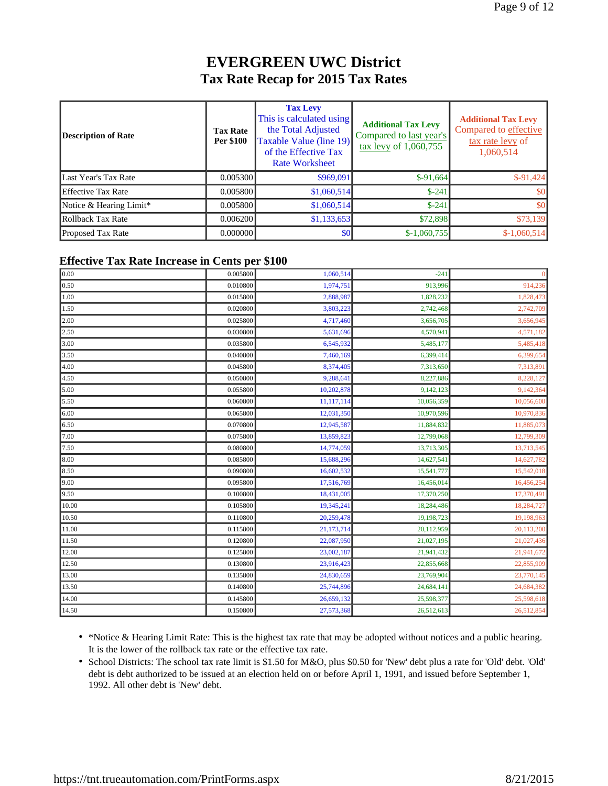#### **EVERGREEN UWC District Tax Rate Recap for 2015 Tax Rates**

| Description of Rate       | <b>Tax Rate</b><br><b>Per \$100</b> | <b>Tax Levy</b><br>This is calculated using<br>the Total Adjusted<br>Taxable Value (line 19)<br>of the Effective Tax<br><b>Rate Worksheet</b> | <b>Additional Tax Levy</b><br>Compared to last year's<br>$\frac{\text{tax} \text{levy}}{1,060,755}$ | <b>Additional Tax Levy</b><br>Compared to effective<br>tax rate levy of<br>1,060,514 |
|---------------------------|-------------------------------------|-----------------------------------------------------------------------------------------------------------------------------------------------|-----------------------------------------------------------------------------------------------------|--------------------------------------------------------------------------------------|
| Last Year's Tax Rate      | 0.005300                            | \$969,091                                                                                                                                     | $$-91,664$                                                                                          | $$-91,424$                                                                           |
| <b>Effective Tax Rate</b> | 0.005800                            | \$1,060,514                                                                                                                                   | $$-241$                                                                                             | \$0                                                                                  |
| Notice & Hearing Limit*   | 0.005800                            | \$1,060,514                                                                                                                                   | $$-241$                                                                                             | \$0                                                                                  |
| Rollback Tax Rate         | 0.006200                            | \$1,133,653                                                                                                                                   | \$72,898                                                                                            | \$73,139                                                                             |
| <b>Proposed Tax Rate</b>  | 0.000000                            | \$0                                                                                                                                           | $$-1,060,755$                                                                                       | $$-1,060,514$                                                                        |

#### **Effective Tax Rate Increase in Cents per \$100**

| 0.005800<br>1,060,514<br>$-241$<br>$\Omega$<br>914,236<br>0.010800<br>1,974,751<br>913,996<br>1,828,473<br>0.015800<br>2,888,987<br>1,828,232<br>0.020800<br>3,803,223<br>2,742,468<br>2,742,709<br>0.025800<br>4,717,460<br>3,656,945<br>3,656,705<br>5,631,696<br>4,571,182<br>0.030800<br>4,570,941<br>0.035800<br>6,545,932<br>5,485,418<br>5,485,177<br>0.040800<br>7,460,169<br>6,399,414<br>6,399,654<br>7,313,891<br>0.045800<br>8,374,405<br>7,313,650<br>8,228,127<br>0.050800<br>9,288,641<br>8,227,886<br>9,142,364<br>0.055800<br>10,202,878<br>9,142,123<br>10,056,600<br>0.060800<br>11,117,114<br>10,056,359<br>10,970,836<br>0.065800<br>12,031,350<br>10,970,596<br>0.070800<br>12,945,587<br>11,884,832<br>11,885,073<br>12,799,068<br>12,799,309<br>0.075800<br>13,859,823<br>13,713,545<br>0.080800<br>14,774,059<br>13,713,305<br>14,627,782<br>0.085800<br>15,688,296<br>14,627,541<br>15,542,018<br>0.090800<br>16,602,532<br>15,541,777<br>16,456,254<br>17,516,769<br>16,456,014<br>0.095800<br>17,370,491<br>18,431,005<br>17,370,250<br>0.100800<br>18,284,727<br>19,345,241<br>18,284,486<br>0.105800<br>0.110800<br>20,259,478<br>19,198,723<br>19,198,963<br>20,113,200<br>21,173,714<br>20,112,959<br>0.115800<br>22,087,950<br>21,027,195<br>21,027,436<br>0.120800<br>23,002,187<br>21,941,432<br>21,941,672<br>0.125800<br>0.130800<br>23,916,423<br>22,855,909<br>22,855,668<br>24,830,659<br>23,770,145<br>0.135800<br>23,769,904<br>0.140800<br>25,744,896<br>24,684,141<br>24,684,382<br>0.145800<br>26,659,132<br>25,598,377<br>25,598,618<br>26,512,854<br>0.150800<br>27,573,368<br>26,512,613 |       |  |  |
|------------------------------------------------------------------------------------------------------------------------------------------------------------------------------------------------------------------------------------------------------------------------------------------------------------------------------------------------------------------------------------------------------------------------------------------------------------------------------------------------------------------------------------------------------------------------------------------------------------------------------------------------------------------------------------------------------------------------------------------------------------------------------------------------------------------------------------------------------------------------------------------------------------------------------------------------------------------------------------------------------------------------------------------------------------------------------------------------------------------------------------------------------------------------------------------------------------------------------------------------------------------------------------------------------------------------------------------------------------------------------------------------------------------------------------------------------------------------------------------------------------------------------------------------------------------------------------------------------------------------------------------|-------|--|--|
|                                                                                                                                                                                                                                                                                                                                                                                                                                                                                                                                                                                                                                                                                                                                                                                                                                                                                                                                                                                                                                                                                                                                                                                                                                                                                                                                                                                                                                                                                                                                                                                                                                          | 0.00  |  |  |
|                                                                                                                                                                                                                                                                                                                                                                                                                                                                                                                                                                                                                                                                                                                                                                                                                                                                                                                                                                                                                                                                                                                                                                                                                                                                                                                                                                                                                                                                                                                                                                                                                                          | 0.50  |  |  |
|                                                                                                                                                                                                                                                                                                                                                                                                                                                                                                                                                                                                                                                                                                                                                                                                                                                                                                                                                                                                                                                                                                                                                                                                                                                                                                                                                                                                                                                                                                                                                                                                                                          | 1.00  |  |  |
|                                                                                                                                                                                                                                                                                                                                                                                                                                                                                                                                                                                                                                                                                                                                                                                                                                                                                                                                                                                                                                                                                                                                                                                                                                                                                                                                                                                                                                                                                                                                                                                                                                          | 1.50  |  |  |
|                                                                                                                                                                                                                                                                                                                                                                                                                                                                                                                                                                                                                                                                                                                                                                                                                                                                                                                                                                                                                                                                                                                                                                                                                                                                                                                                                                                                                                                                                                                                                                                                                                          | 2.00  |  |  |
|                                                                                                                                                                                                                                                                                                                                                                                                                                                                                                                                                                                                                                                                                                                                                                                                                                                                                                                                                                                                                                                                                                                                                                                                                                                                                                                                                                                                                                                                                                                                                                                                                                          | 2.50  |  |  |
|                                                                                                                                                                                                                                                                                                                                                                                                                                                                                                                                                                                                                                                                                                                                                                                                                                                                                                                                                                                                                                                                                                                                                                                                                                                                                                                                                                                                                                                                                                                                                                                                                                          | 3.00  |  |  |
|                                                                                                                                                                                                                                                                                                                                                                                                                                                                                                                                                                                                                                                                                                                                                                                                                                                                                                                                                                                                                                                                                                                                                                                                                                                                                                                                                                                                                                                                                                                                                                                                                                          | 3.50  |  |  |
|                                                                                                                                                                                                                                                                                                                                                                                                                                                                                                                                                                                                                                                                                                                                                                                                                                                                                                                                                                                                                                                                                                                                                                                                                                                                                                                                                                                                                                                                                                                                                                                                                                          | 4.00  |  |  |
|                                                                                                                                                                                                                                                                                                                                                                                                                                                                                                                                                                                                                                                                                                                                                                                                                                                                                                                                                                                                                                                                                                                                                                                                                                                                                                                                                                                                                                                                                                                                                                                                                                          | 4.50  |  |  |
|                                                                                                                                                                                                                                                                                                                                                                                                                                                                                                                                                                                                                                                                                                                                                                                                                                                                                                                                                                                                                                                                                                                                                                                                                                                                                                                                                                                                                                                                                                                                                                                                                                          | 5.00  |  |  |
|                                                                                                                                                                                                                                                                                                                                                                                                                                                                                                                                                                                                                                                                                                                                                                                                                                                                                                                                                                                                                                                                                                                                                                                                                                                                                                                                                                                                                                                                                                                                                                                                                                          | 5.50  |  |  |
|                                                                                                                                                                                                                                                                                                                                                                                                                                                                                                                                                                                                                                                                                                                                                                                                                                                                                                                                                                                                                                                                                                                                                                                                                                                                                                                                                                                                                                                                                                                                                                                                                                          | 6.00  |  |  |
|                                                                                                                                                                                                                                                                                                                                                                                                                                                                                                                                                                                                                                                                                                                                                                                                                                                                                                                                                                                                                                                                                                                                                                                                                                                                                                                                                                                                                                                                                                                                                                                                                                          | 6.50  |  |  |
|                                                                                                                                                                                                                                                                                                                                                                                                                                                                                                                                                                                                                                                                                                                                                                                                                                                                                                                                                                                                                                                                                                                                                                                                                                                                                                                                                                                                                                                                                                                                                                                                                                          | 7.00  |  |  |
|                                                                                                                                                                                                                                                                                                                                                                                                                                                                                                                                                                                                                                                                                                                                                                                                                                                                                                                                                                                                                                                                                                                                                                                                                                                                                                                                                                                                                                                                                                                                                                                                                                          | 7.50  |  |  |
|                                                                                                                                                                                                                                                                                                                                                                                                                                                                                                                                                                                                                                                                                                                                                                                                                                                                                                                                                                                                                                                                                                                                                                                                                                                                                                                                                                                                                                                                                                                                                                                                                                          | 8.00  |  |  |
|                                                                                                                                                                                                                                                                                                                                                                                                                                                                                                                                                                                                                                                                                                                                                                                                                                                                                                                                                                                                                                                                                                                                                                                                                                                                                                                                                                                                                                                                                                                                                                                                                                          | 8.50  |  |  |
|                                                                                                                                                                                                                                                                                                                                                                                                                                                                                                                                                                                                                                                                                                                                                                                                                                                                                                                                                                                                                                                                                                                                                                                                                                                                                                                                                                                                                                                                                                                                                                                                                                          | 9.00  |  |  |
|                                                                                                                                                                                                                                                                                                                                                                                                                                                                                                                                                                                                                                                                                                                                                                                                                                                                                                                                                                                                                                                                                                                                                                                                                                                                                                                                                                                                                                                                                                                                                                                                                                          | 9.50  |  |  |
|                                                                                                                                                                                                                                                                                                                                                                                                                                                                                                                                                                                                                                                                                                                                                                                                                                                                                                                                                                                                                                                                                                                                                                                                                                                                                                                                                                                                                                                                                                                                                                                                                                          | 10.00 |  |  |
|                                                                                                                                                                                                                                                                                                                                                                                                                                                                                                                                                                                                                                                                                                                                                                                                                                                                                                                                                                                                                                                                                                                                                                                                                                                                                                                                                                                                                                                                                                                                                                                                                                          | 10.50 |  |  |
|                                                                                                                                                                                                                                                                                                                                                                                                                                                                                                                                                                                                                                                                                                                                                                                                                                                                                                                                                                                                                                                                                                                                                                                                                                                                                                                                                                                                                                                                                                                                                                                                                                          | 11.00 |  |  |
|                                                                                                                                                                                                                                                                                                                                                                                                                                                                                                                                                                                                                                                                                                                                                                                                                                                                                                                                                                                                                                                                                                                                                                                                                                                                                                                                                                                                                                                                                                                                                                                                                                          | 11.50 |  |  |
|                                                                                                                                                                                                                                                                                                                                                                                                                                                                                                                                                                                                                                                                                                                                                                                                                                                                                                                                                                                                                                                                                                                                                                                                                                                                                                                                                                                                                                                                                                                                                                                                                                          | 12.00 |  |  |
|                                                                                                                                                                                                                                                                                                                                                                                                                                                                                                                                                                                                                                                                                                                                                                                                                                                                                                                                                                                                                                                                                                                                                                                                                                                                                                                                                                                                                                                                                                                                                                                                                                          | 12.50 |  |  |
|                                                                                                                                                                                                                                                                                                                                                                                                                                                                                                                                                                                                                                                                                                                                                                                                                                                                                                                                                                                                                                                                                                                                                                                                                                                                                                                                                                                                                                                                                                                                                                                                                                          | 13.00 |  |  |
|                                                                                                                                                                                                                                                                                                                                                                                                                                                                                                                                                                                                                                                                                                                                                                                                                                                                                                                                                                                                                                                                                                                                                                                                                                                                                                                                                                                                                                                                                                                                                                                                                                          | 13.50 |  |  |
|                                                                                                                                                                                                                                                                                                                                                                                                                                                                                                                                                                                                                                                                                                                                                                                                                                                                                                                                                                                                                                                                                                                                                                                                                                                                                                                                                                                                                                                                                                                                                                                                                                          | 14.00 |  |  |
|                                                                                                                                                                                                                                                                                                                                                                                                                                                                                                                                                                                                                                                                                                                                                                                                                                                                                                                                                                                                                                                                                                                                                                                                                                                                                                                                                                                                                                                                                                                                                                                                                                          | 14.50 |  |  |

• \*Notice & Hearing Limit Rate: This is the highest tax rate that may be adopted without notices and a public hearing. It is the lower of the rollback tax rate or the effective tax rate.

• School Districts: The school tax rate limit is \$1.50 for M&O, plus \$0.50 for 'New' debt plus a rate for 'Old' debt. 'Old' debt is debt authorized to be issued at an election held on or before April 1, 1991, and issued before September 1, 1992. All other debt is 'New' debt.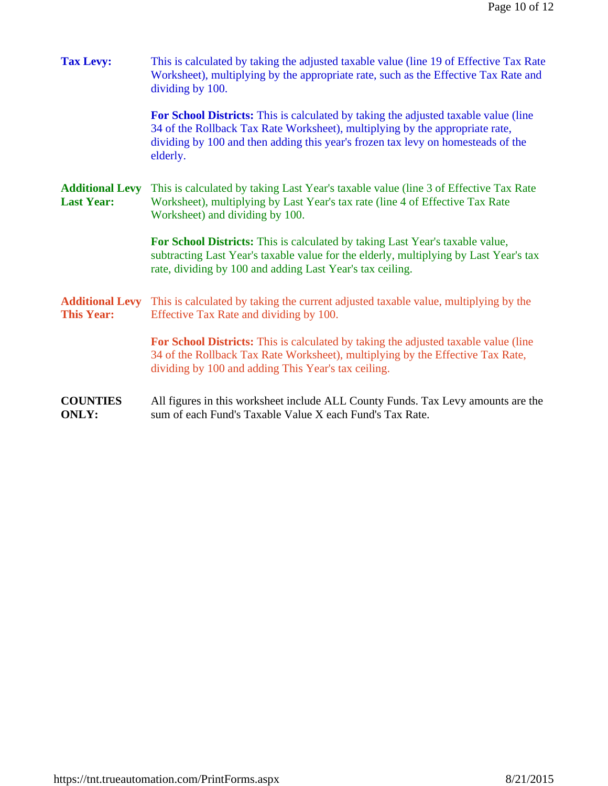| <b>Tax Levy:</b>                            | This is calculated by taking the adjusted taxable value (line 19 of Effective Tax Rate<br>Worksheet), multiplying by the appropriate rate, such as the Effective Tax Rate and<br>dividing by 100.                                                                   |  |  |
|---------------------------------------------|---------------------------------------------------------------------------------------------------------------------------------------------------------------------------------------------------------------------------------------------------------------------|--|--|
|                                             | For School Districts: This is calculated by taking the adjusted taxable value (line<br>34 of the Rollback Tax Rate Worksheet), multiplying by the appropriate rate,<br>dividing by 100 and then adding this year's frozen tax levy on homesteads of the<br>elderly. |  |  |
| <b>Additional Levy</b><br><b>Last Year:</b> | This is calculated by taking Last Year's taxable value (line 3 of Effective Tax Rate<br>Worksheet), multiplying by Last Year's tax rate (line 4 of Effective Tax Rate<br>Worksheet) and dividing by 100.                                                            |  |  |
|                                             | For School Districts: This is calculated by taking Last Year's taxable value,<br>subtracting Last Year's taxable value for the elderly, multiplying by Last Year's tax<br>rate, dividing by 100 and adding Last Year's tax ceiling.                                 |  |  |
| <b>Additional Levy</b><br><b>This Year:</b> | This is calculated by taking the current adjusted taxable value, multiplying by the<br>Effective Tax Rate and dividing by 100.                                                                                                                                      |  |  |
|                                             | <b>For School Districts:</b> This is calculated by taking the adjusted taxable value (line<br>34 of the Rollback Tax Rate Worksheet), multiplying by the Effective Tax Rate,<br>dividing by 100 and adding This Year's tax ceiling.                                 |  |  |
| <b>COUNTIES</b><br><b>ONLY:</b>             | All figures in this worksheet include ALL County Funds. Tax Levy amounts are the<br>sum of each Fund's Taxable Value X each Fund's Tax Rate.                                                                                                                        |  |  |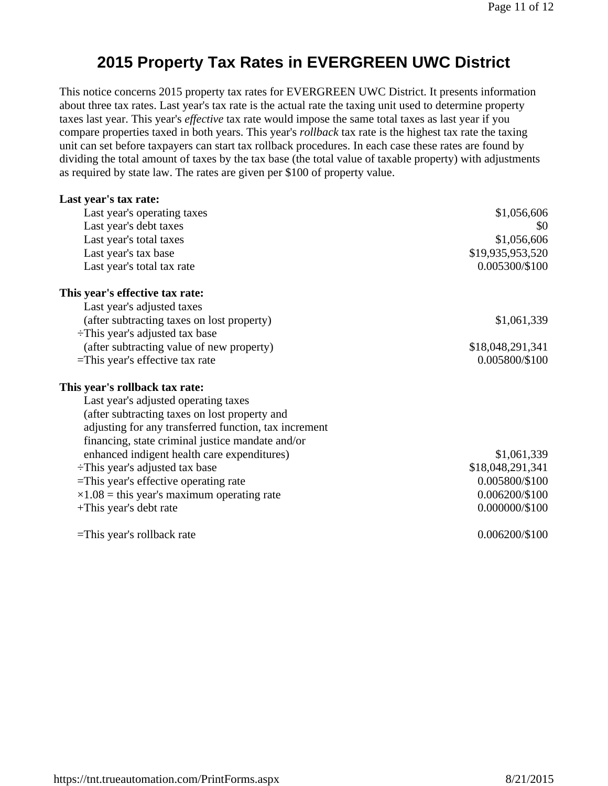#### **2015 Property Tax Rates in EVERGREEN UWC District**

This notice concerns 2015 property tax rates for EVERGREEN UWC District. It presents information about three tax rates. Last year's tax rate is the actual rate the taxing unit used to determine property taxes last year. This year's *effective* tax rate would impose the same total taxes as last year if you compare properties taxed in both years. This year's *rollback* tax rate is the highest tax rate the taxing unit can set before taxpayers can start tax rollback procedures. In each case these rates are found by dividing the total amount of taxes by the tax base (the total value of taxable property) with adjustments as required by state law. The rates are given per \$100 of property value.

| Last year's tax rate:                                 |                  |
|-------------------------------------------------------|------------------|
| Last year's operating taxes                           | \$1,056,606      |
| Last year's debt taxes                                | \$0              |
| Last year's total taxes                               | \$1,056,606      |
| Last year's tax base                                  | \$19,935,953,520 |
| Last year's total tax rate                            | 0.005300/\$100   |
| This year's effective tax rate:                       |                  |
| Last year's adjusted taxes                            |                  |
| (after subtracting taxes on lost property)            | \$1,061,339      |
| $\div$ This year's adjusted tax base                  |                  |
| (after subtracting value of new property)             | \$18,048,291,341 |
| =This year's effective tax rate                       | 0.005800/\$100   |
| This year's rollback tax rate:                        |                  |
| Last year's adjusted operating taxes                  |                  |
| (after subtracting taxes on lost property and         |                  |
| adjusting for any transferred function, tax increment |                  |
| financing, state criminal justice mandate and/or      |                  |
| enhanced indigent health care expenditures)           | \$1,061,339      |
| -This year's adjusted tax base                        | \$18,048,291,341 |
| =This year's effective operating rate                 | 0.005800/\$100   |
| $\times 1.08$ = this year's maximum operating rate    | 0.006200/\$100   |
| +This year's debt rate                                | 0.000000/\$100   |
| $=$ This year's rollback rate                         | 0.006200/\$100   |